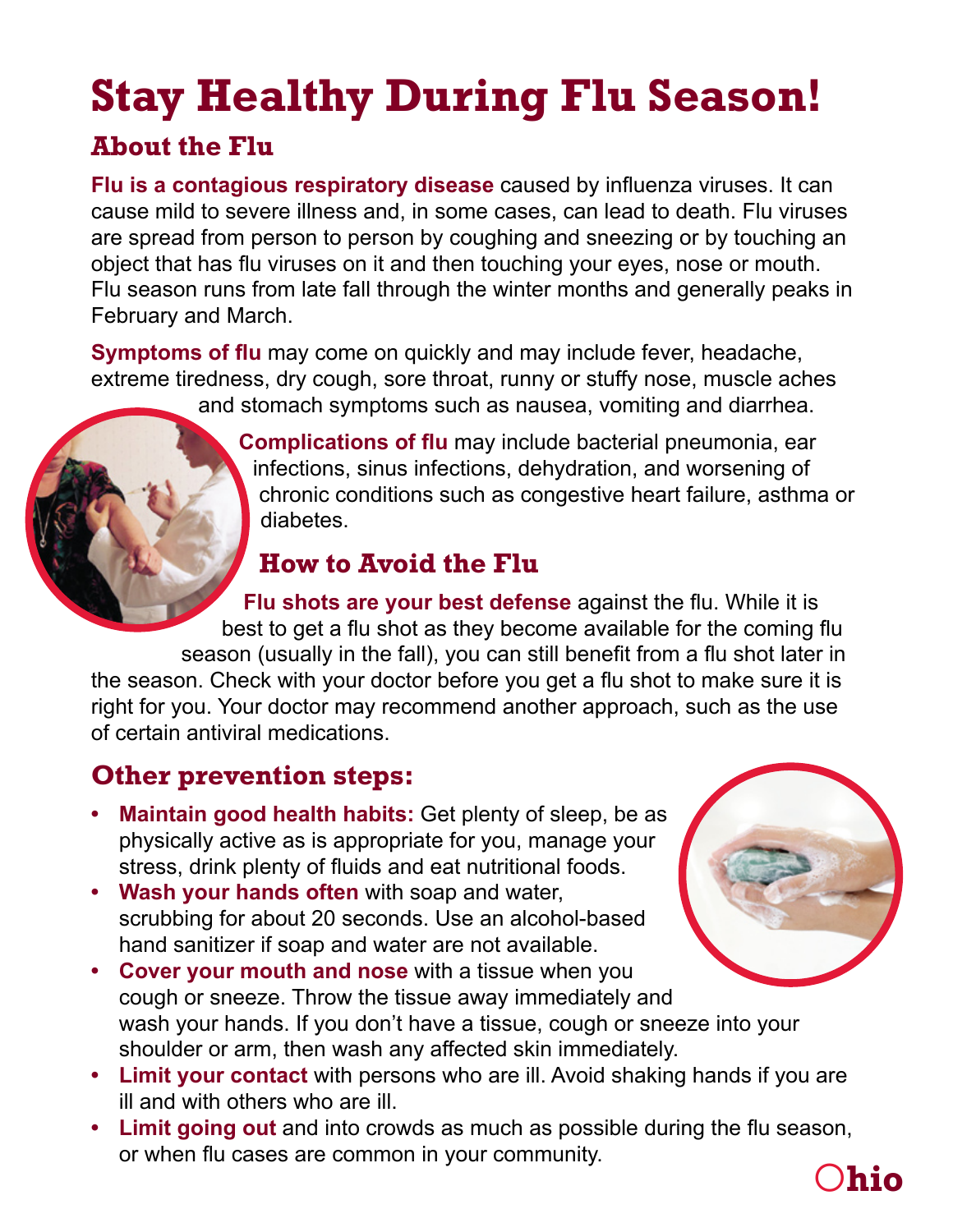# **Stay Healthy During Flu Season!**

### **About the Flu**

**Flu is a contagious respiratory disease** caused by influenza viruses. It can cause mild to severe illness and, in some cases, can lead to death. Flu viruses are spread from person to person by coughing and sneezing or by touching an object that has flu viruses on it and then touching your eyes, nose or mouth. Flu season runs from late fall through the winter months and generally peaks in February and March.

**Symptoms of flu** may come on quickly and may include fever, headache, extreme tiredness, dry cough, sore throat, runny or stuffy nose, muscle aches

and stomach symptoms such as nausea, vomiting and diarrhea.

**Complications of flu** may include bacterial pneumonia, ear infections, sinus infections, dehydration, and worsening of chronic conditions such as congestive heart failure, asthma or diabetes.

## **How to Avoid the Flu**

**Flu shots are your best defense** against the flu. While it is best to get a flu shot as they become available for the coming flu season (usually in the fall), you can still benefit from a flu shot later in the season. Check with your doctor before you get a flu shot to make sure it is right for you. Your doctor may recommend another approach, such as the use

of certain antiviral medications.

## **Other prevention steps:**

- **• Maintain good health habits:** Get plenty of sleep, be as physically active as is appropriate for you, manage your stress, drink plenty of fluids and eat nutritional foods.
- **• Wash your hands often** with soap and water, scrubbing for about 20 seconds. Use an alcohol-based hand sanitizer if soap and water are not available.
- **• Cover your mouth and nose** with a tissue when you cough or sneeze. Throw the tissue away immediately and wash your hands. If you don't have a tissue, cough or sneeze into your shoulder or arm, then wash any affected skin immediately.
- **• Limit your contact** with persons who are ill. Avoid shaking hands if you are ill and with others who are ill.
- **• Limit going out** and into crowds as much as possible during the flu season, or when flu cases are common in your community.